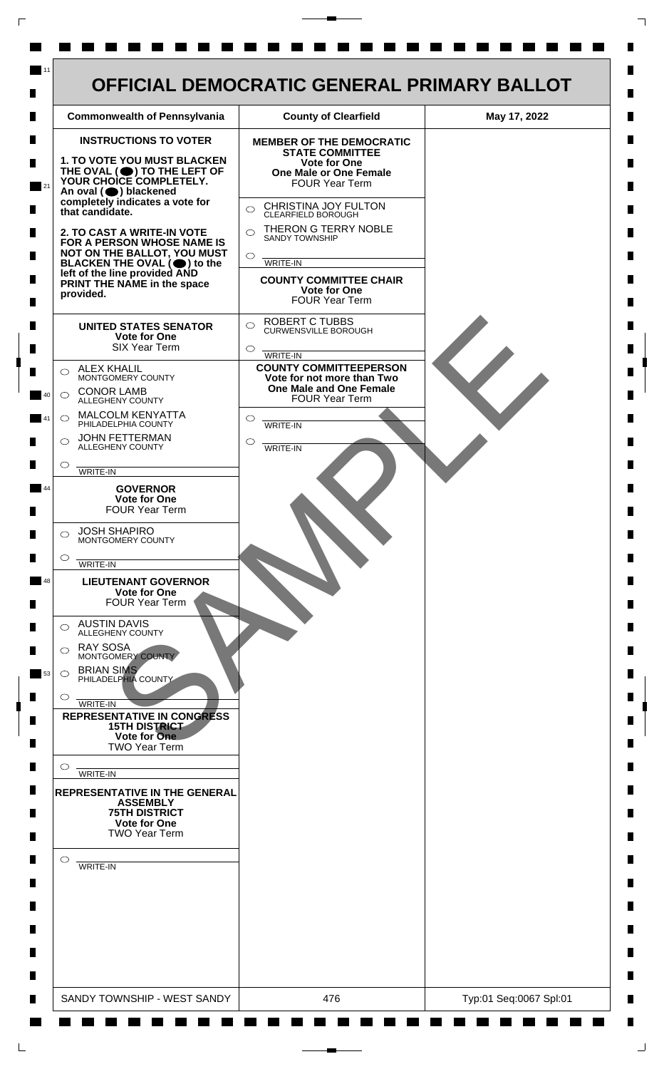

 $\mathsf{L}$